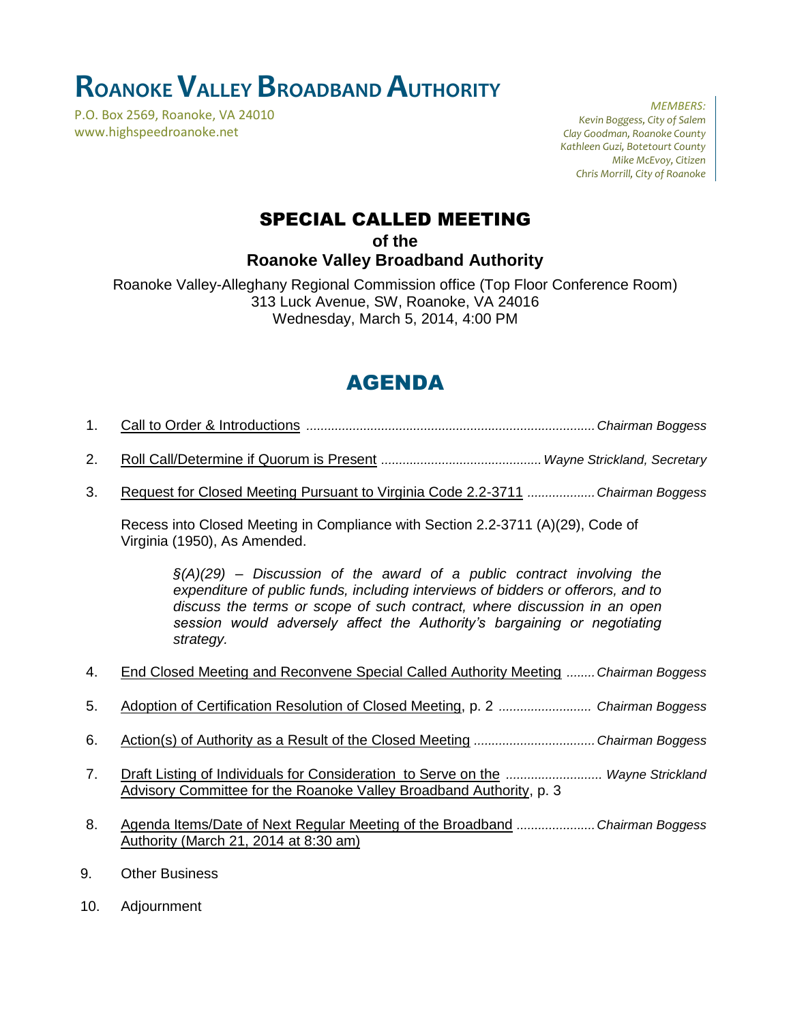## **ROANOKEVALLEY BROADBAND AUTHORITY**

P.O. Box 2569, Roanoke, VA 24010 www.highspeedroanoke.net

*MEMBERS: Kevin Boggess, City of Salem Clay Goodman, Roanoke County Kathleen Guzi, Botetourt County Mike McEvoy, Citizen Chris Morrill, City of Roanoke*

### SPECIAL CALLED MEETING

**of the**

**Roanoke Valley Broadband Authority**

Roanoke Valley-Alleghany Regional Commission office (Top Floor Conference Room) 313 Luck Avenue, SW, Roanoke, VA 24016 Wednesday, March 5, 2014, 4:00 PM

### AGENDA

- 1. Call to Order & Introductions *.................................................................................Chairman Boggess*
- 2. Roll Call/Determine if Quorum is Present *.............................................Wayne Strickland, Secretary*
- 3. Request for Closed Meeting Pursuant to Virginia Code 2.2-3711 *...................Chairman Boggess*

Recess into Closed Meeting in Compliance with Section 2.2-3711 (A)(29), Code of Virginia (1950), As Amended.

*§(A)(29) – Discussion of the award of a public contract involving the expenditure of public funds, including interviews of bidders or offerors, and to discuss the terms or scope of such contract, where discussion in an open session would adversely affect the Authority's bargaining or negotiating strategy.*

- 4. End Closed Meeting and Reconvene Special Called Authority Meeting *........Chairman Boggess*
- 5. Adoption of Certification Resolution of Closed Meeting, p. 2 *.......................... Chairman Boggess*
- 6. Action(s) of Authority as a Result of the Closed Meeting *..................................Chairman Boggess*
- 7. Draft Listing of Individuals for Consideration to Serve on the *........................... Wayne Strickland* Advisory Committee for the Roanoke Valley Broadband Authority, p. 3
- 8. Agenda Items/Date of Next Regular Meeting of the Broadband *......................Chairman Boggess* Authority (March 21, 2014 at 8:30 am)
- 9. Other Business
- 10. Adjournment